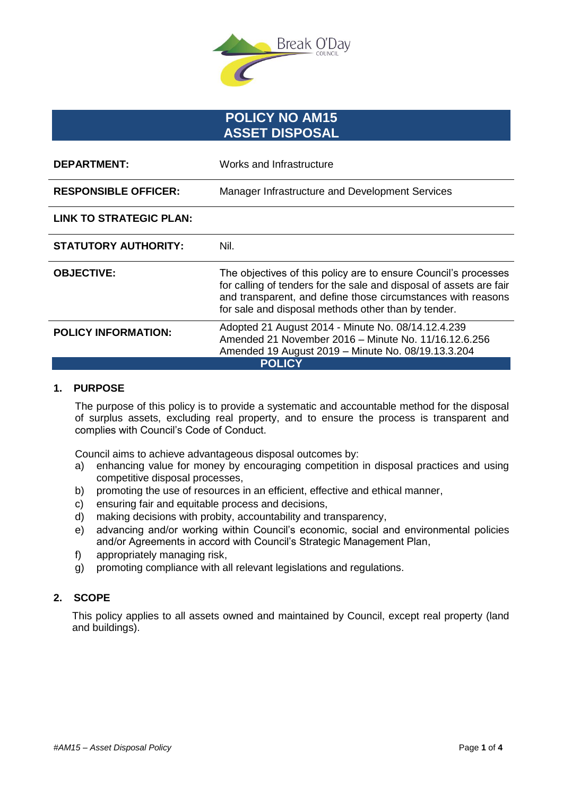

# **POLICY NO AM15 ASSET DISPOSAL**

| <b>DEPARTMENT:</b>             | Works and Infrastructure                                                                                                                                                                                                                                      |
|--------------------------------|---------------------------------------------------------------------------------------------------------------------------------------------------------------------------------------------------------------------------------------------------------------|
| <b>RESPONSIBLE OFFICER:</b>    | Manager Infrastructure and Development Services                                                                                                                                                                                                               |
| <b>LINK TO STRATEGIC PLAN:</b> |                                                                                                                                                                                                                                                               |
| <b>STATUTORY AUTHORITY:</b>    | Nil.                                                                                                                                                                                                                                                          |
| <b>OBJECTIVE:</b>              | The objectives of this policy are to ensure Council's processes<br>for calling of tenders for the sale and disposal of assets are fair<br>and transparent, and define those circumstances with reasons<br>for sale and disposal methods other than by tender. |
| <b>POLICY INFORMATION:</b>     | Adopted 21 August 2014 - Minute No. 08/14.12.4.239<br>Amended 21 November 2016 - Minute No. 11/16.12.6.256<br>Amended 19 August 2019 - Minute No. 08/19.13.3.204                                                                                              |
| <b>POLICY</b>                  |                                                                                                                                                                                                                                                               |

# **1. PURPOSE**

The purpose of this policy is to provide a systematic and accountable method for the disposal of surplus assets, excluding real property, and to ensure the process is transparent and complies with Council's Code of Conduct.

Council aims to achieve advantageous disposal outcomes by:

- a) enhancing value for money by encouraging competition in disposal practices and using competitive disposal processes,
- b) promoting the use of resources in an efficient, effective and ethical manner,
- c) ensuring fair and equitable process and decisions,
- d) making decisions with probity, accountability and transparency,
- e) advancing and/or working within Council's economic, social and environmental policies and/or Agreements in accord with Council's Strategic Management Plan,
- f) appropriately managing risk,
- g) promoting compliance with all relevant legislations and regulations.

# **2. SCOPE**

This policy applies to all assets owned and maintained by Council, except real property (land and buildings).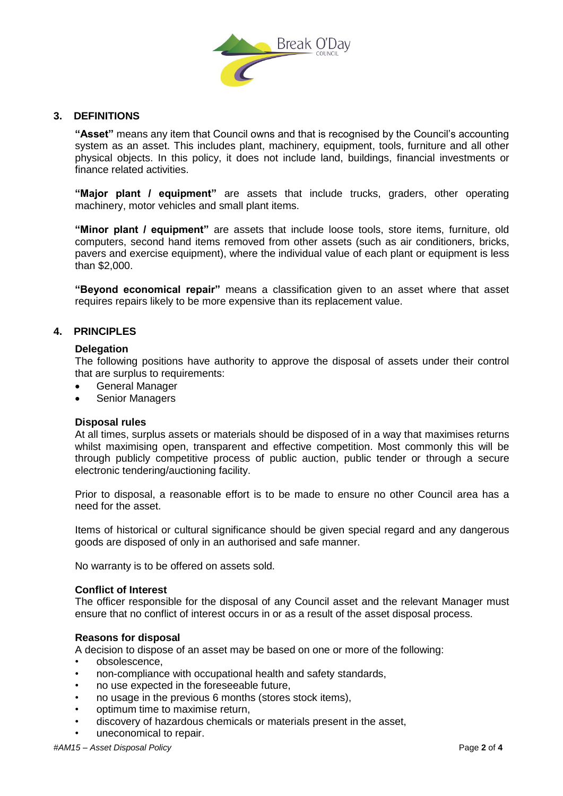

# **3. DEFINITIONS**

**"Asset"** means any item that Council owns and that is recognised by the Council's accounting system as an asset. This includes plant, machinery, equipment, tools, furniture and all other physical objects. In this policy, it does not include land, buildings, financial investments or finance related activities.

**"Major plant / equipment"** are assets that include trucks, graders, other operating machinery, motor vehicles and small plant items.

**"Minor plant / equipment"** are assets that include loose tools, store items, furniture, old computers, second hand items removed from other assets (such as air conditioners, bricks, pavers and exercise equipment), where the individual value of each plant or equipment is less than \$2,000.

**"Beyond economical repair"** means a classification given to an asset where that asset requires repairs likely to be more expensive than its replacement value.

# **4. PRINCIPLES**

# **Delegation**

The following positions have authority to approve the disposal of assets under their control that are surplus to requirements:

- General Manager
- Senior Managers

# **Disposal rules**

At all times, surplus assets or materials should be disposed of in a way that maximises returns whilst maximising open, transparent and effective competition. Most commonly this will be through publicly competitive process of public auction, public tender or through a secure electronic tendering/auctioning facility.

Prior to disposal, a reasonable effort is to be made to ensure no other Council area has a need for the asset.

Items of historical or cultural significance should be given special regard and any dangerous goods are disposed of only in an authorised and safe manner.

No warranty is to be offered on assets sold.

#### **Conflict of Interest**

The officer responsible for the disposal of any Council asset and the relevant Manager must ensure that no conflict of interest occurs in or as a result of the asset disposal process.

# **Reasons for disposal**

A decision to dispose of an asset may be based on one or more of the following:

- obsolescence,
- non-compliance with occupational health and safety standards,
- no use expected in the foreseeable future,
- no usage in the previous 6 months (stores stock items),
- optimum time to maximise return,
- discovery of hazardous chemicals or materials present in the asset,
- uneconomical to repair.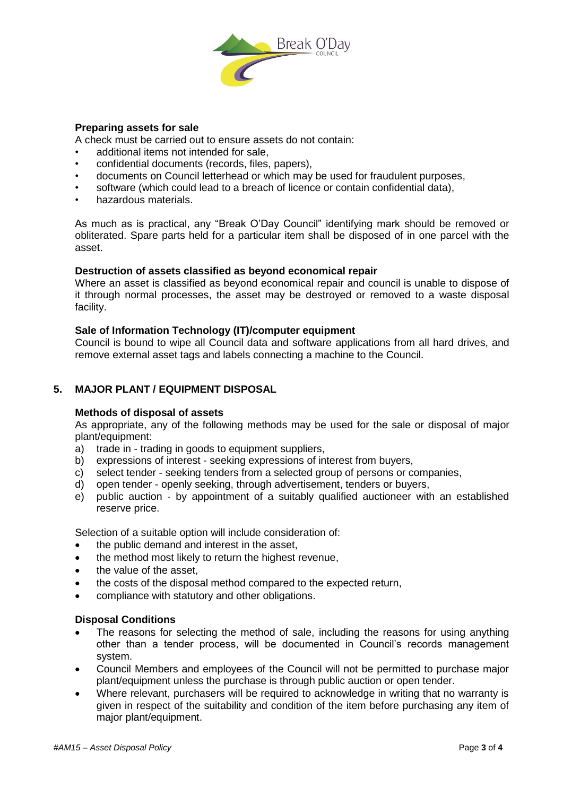

# **Preparing assets for sale**

A check must be carried out to ensure assets do not contain:

- additional items not intended for sale,
- confidential documents (records, files, papers),
- documents on Council letterhead or which may be used for fraudulent purposes,
- software (which could lead to a breach of licence or contain confidential data),
- hazardous materials.

As much as is practical, any "Break O'Day Council" identifying mark should be removed or obliterated. Spare parts held for a particular item shall be disposed of in one parcel with the asset.

# **Destruction of assets classified as beyond economical repair**

Where an asset is classified as beyond economical repair and council is unable to dispose of it through normal processes, the asset may be destroyed or removed to a waste disposal facility.

# **Sale of Information Technology (IT)/computer equipment**

Council is bound to wipe all Council data and software applications from all hard drives, and remove external asset tags and labels connecting a machine to the Council.

# **5. MAJOR PLANT / EQUIPMENT DISPOSAL**

# **Methods of disposal of assets**

As appropriate, any of the following methods may be used for the sale or disposal of major plant/equipment:

- a) trade in trading in goods to equipment suppliers,
- b) expressions of interest seeking expressions of interest from buyers,
- c) select tender seeking tenders from a selected group of persons or companies,
- d) open tender openly seeking, through advertisement, tenders or buyers,
- e) public auction by appointment of a suitably qualified auctioneer with an established reserve price.

Selection of a suitable option will include consideration of:

- the public demand and interest in the asset,
- the method most likely to return the highest revenue,
- the value of the asset.
- the costs of the disposal method compared to the expected return,
- compliance with statutory and other obligations.

# **Disposal Conditions**

- The reasons for selecting the method of sale, including the reasons for using anything other than a tender process, will be documented in Council's records management system.
- Council Members and employees of the Council will not be permitted to purchase major plant/equipment unless the purchase is through public auction or open tender.
- Where relevant, purchasers will be required to acknowledge in writing that no warranty is given in respect of the suitability and condition of the item before purchasing any item of major plant/equipment.